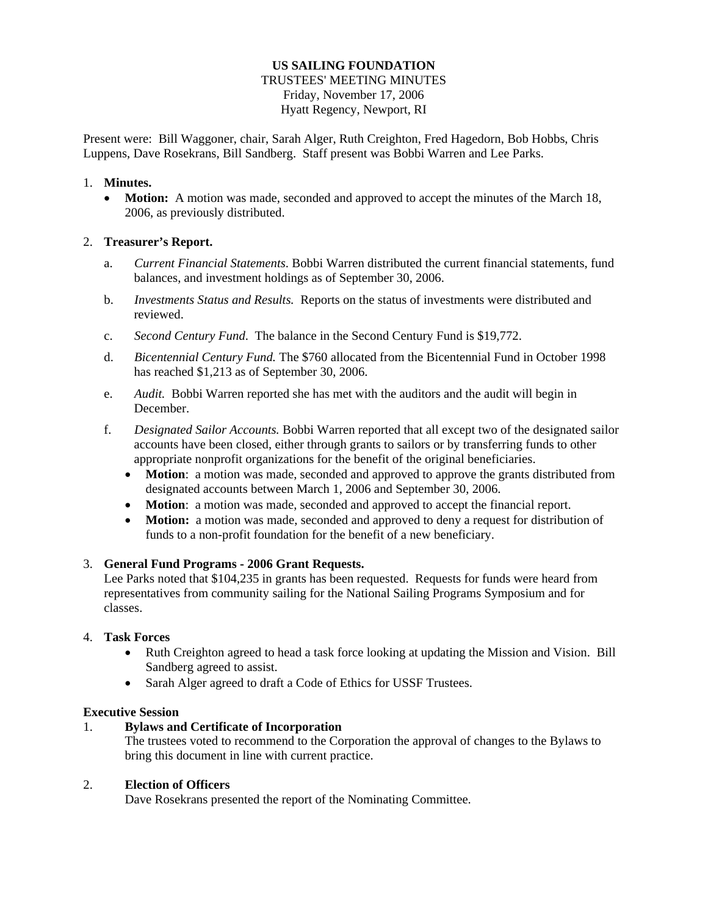#### **US SAILING FOUNDATION**  TRUSTEES' MEETING MINUTES Friday, November 17, 2006 Hyatt Regency, Newport, RI

Present were: Bill Waggoner, chair, Sarah Alger, Ruth Creighton, Fred Hagedorn, Bob Hobbs, Chris Luppens, Dave Rosekrans, Bill Sandberg. Staff present was Bobbi Warren and Lee Parks.

### 1. **Minutes.**

• **Motion:** A motion was made, seconded and approved to accept the minutes of the March 18, 2006, as previously distributed.

## 2. **Treasurer's Report.**

- a. *Current Financial Statements*. Bobbi Warren distributed the current financial statements, fund balances, and investment holdings as of September 30, 2006.
- b. *Investments Status and Results.* Reports on the status of investments were distributed and reviewed.
- c. *Second Century Fund*. The balance in the Second Century Fund is \$19,772.
- d. *Bicentennial Century Fund.* The \$760 allocated from the Bicentennial Fund in October 1998 has reached \$1,213 as of September 30, 2006.
- e. *Audit.* Bobbi Warren reported she has met with the auditors and the audit will begin in December.
- f. *Designated Sailor Accounts.* Bobbi Warren reported that all except two of the designated sailor accounts have been closed, either through grants to sailors or by transferring funds to other appropriate nonprofit organizations for the benefit of the original beneficiaries.
	- **Motion**: a motion was made, seconded and approved to approve the grants distributed from designated accounts between March 1, 2006 and September 30, 2006.
	- **Motion**: a motion was made, seconded and approved to accept the financial report.
	- **Motion:** a motion was made, seconded and approved to deny a request for distribution of funds to a non-profit foundation for the benefit of a new beneficiary.

# 3. **General Fund Programs - 2006 Grant Requests.**

Lee Parks noted that \$104,235 in grants has been requested. Requests for funds were heard from representatives from community sailing for the National Sailing Programs Symposium and for classes.

### 4. **Task Forces**

- Ruth Creighton agreed to head a task force looking at updating the Mission and Vision. Bill Sandberg agreed to assist.
- Sarah Alger agreed to draft a Code of Ethics for USSF Trustees.

### **Executive Session**

# 1. **Bylaws and Certificate of Incorporation**

The trustees voted to recommend to the Corporation the approval of changes to the Bylaws to bring this document in line with current practice.

### 2. **Election of Officers**

Dave Rosekrans presented the report of the Nominating Committee.